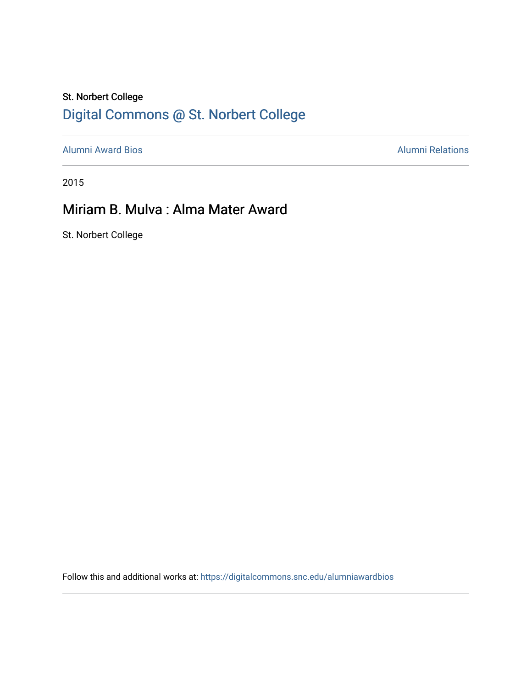## St. Norbert College [Digital Commons @ St. Norbert College](https://digitalcommons.snc.edu/)

[Alumni Award Bios](https://digitalcommons.snc.edu/alumniawardbios) **Alumni Relations** Alumni Relations

2015

## Miriam B. Mulva : Alma Mater Award

St. Norbert College

Follow this and additional works at: [https://digitalcommons.snc.edu/alumniawardbios](https://digitalcommons.snc.edu/alumniawardbios?utm_source=digitalcommons.snc.edu%2Falumniawardbios%2F83&utm_medium=PDF&utm_campaign=PDFCoverPages)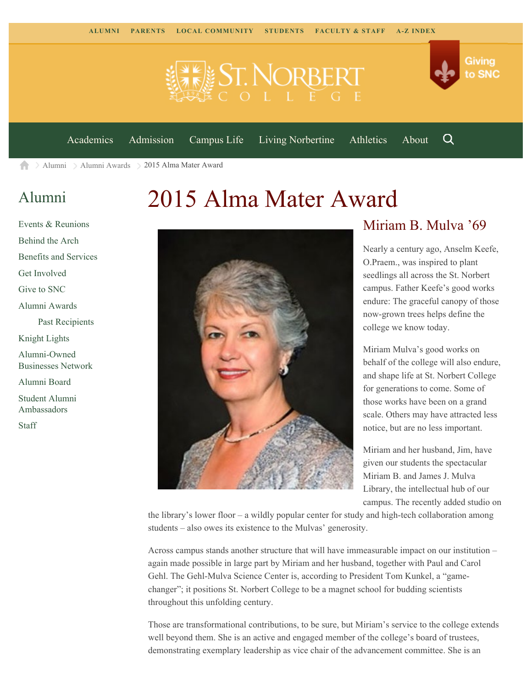



[Academics](https://www.snc.edu/academics) [Admission](https://www.snc.edu/admission) [Campus Life](https://www.snc.edu/campuslife) [Living Norbertine](https://www.snc.edu/livingnorbertine) [Athletics](https://www.snc.edu/athletics) [About](https://www.snc.edu/about)

Q

Giving

to SNC

> [Alumni](https://www.snc.edu/alumni/) > [Alumni Awards](https://www.snc.edu/alumni/awards/) > 2015 Alma Mater Award A

## [Alumni](https://www.snc.edu/alumni/index.html)

[Events & Reunions](https://www.snc.edu/alumni/event/index.html) [Behind the Arch](https://www.snc.edu/alumni/event/behindthearch/) [Benefits and Services](https://www.snc.edu/alumni/benefits.html) [Get Involved](https://www.snc.edu/alumni/getinvolved.html) [Give to SNC](http://giving.snc.edu/) [Alumni Awards](https://www.snc.edu/alumni/awards/index.html) [Past Recipients](https://www.snc.edu/alumni/awards/recipients.html) [Knight Lights](https://www.snc.edu/alumni/knightlights/index.html) [Alumni-Owned](https://www.snc.edu/alumni/directory/index.html) [Businesses Network](https://www.snc.edu/alumni/directory/index.html) [Alumni Board](https://www.snc.edu/alumni/alumniboard.html) [Student Alumni](https://www.snc.edu/alumni/saa.html) [Ambassadors](https://www.snc.edu/alumni/saa.html) [Staff](https://www.snc.edu/alumni/contactus.html)

# 2015 Alma Mater Award



### Miriam B. Mulva '69

Nearly a century ago, Anselm Keefe, O.Praem., was inspired to plant seedlings all across the St. Norbert campus. Father Keefe's good works endure: The graceful canopy of those now-grown trees helps define the college we know today.

Miriam Mulva's good works on behalf of the college will also endure, and shape life at St. Norbert College for generations to come. Some of those works have been on a grand scale. Others may have attracted less notice, but are no less important.

Miriam and her husband, Jim, have given our students the spectacular Miriam B. and James J. Mulva Library, the intellectual hub of our campus. The recently added studio on

the library's lower floor – a wildly popular center for study and high-tech collaboration among students – also owes its existence to the Mulvas' generosity.

Across campus stands another structure that will have immeasurable impact on our institution – again made possible in large part by Miriam and her husband, together with Paul and Carol Gehl. The Gehl-Mulva Science Center is, according to President Tom Kunkel, a "gamechanger"; it positions St. Norbert College to be a magnet school for budding scientists throughout this unfolding century.

Those are transformational contributions, to be sure, but Miriam's service to the college extends well beyond them. She is an active and engaged member of the college's board of trustees, demonstrating exemplary leadership as vice chair of the advancement committee. She is an